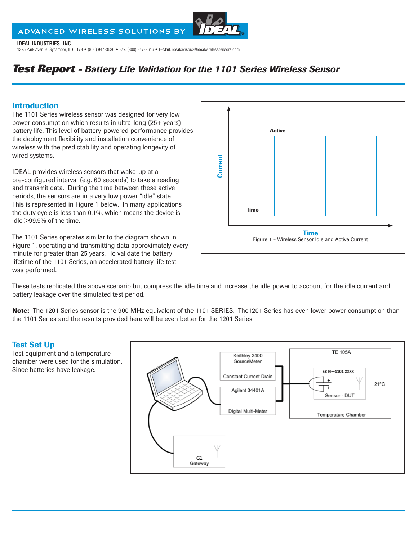# ADVANCED WIRELESS SOLUTIONS BY



**IDEAL INDUSTRIES, INC.**  1375 Park Avenue; Sycamore, IL 60178 • (800) 947-3630 • Fax: (800) 947-3616 • E-Mail: idealsensors@idealwirelesssensors.com

# *Test Report - Battery Life Validation for the 1101 Series Wireless Sensor*

# Introduction

The 1101 Series wireless sensor was designed for very low power consumption which results in ultra-long (25+ years) battery life. This level of battery-powered performance provides the deployment flexibility and installation convenience of wireless with the predictability and operating longevity of wired systems.

IDEAL provides wireless sensors that wake-up at a pre-configured interval (e.g. 60 seconds) to take a reading and transmit data. During the time between these active periods, the sensors are in a very low power "idle" state. This is represented in Figure 1 below. In many applications the duty cycle is less than 0.1%, which means the device is idle >99.9% of the time.

The 1101 Series operates similar to the diagram shown in Figure 1, operating and transmitting data approximately every minute for greater than 25 years. To validate the battery lifetime of the 1101 Series, an accelerated battery life test was performed.



These tests replicated the above scenario but compress the idle time and increase the idle power to account for the idle current and battery leakage over the simulated test period.

Note: The 1201 Series sensor is the 900 MHz equivalent of the 1101 SERIES. The 1201 Series has even lower power consumption than the 1101 Series and the results provided here will be even better for the 1201 Series.

# Test Set Up

Test equipment and a temperature chamber were used for the simulation. Since batteries have leakage.